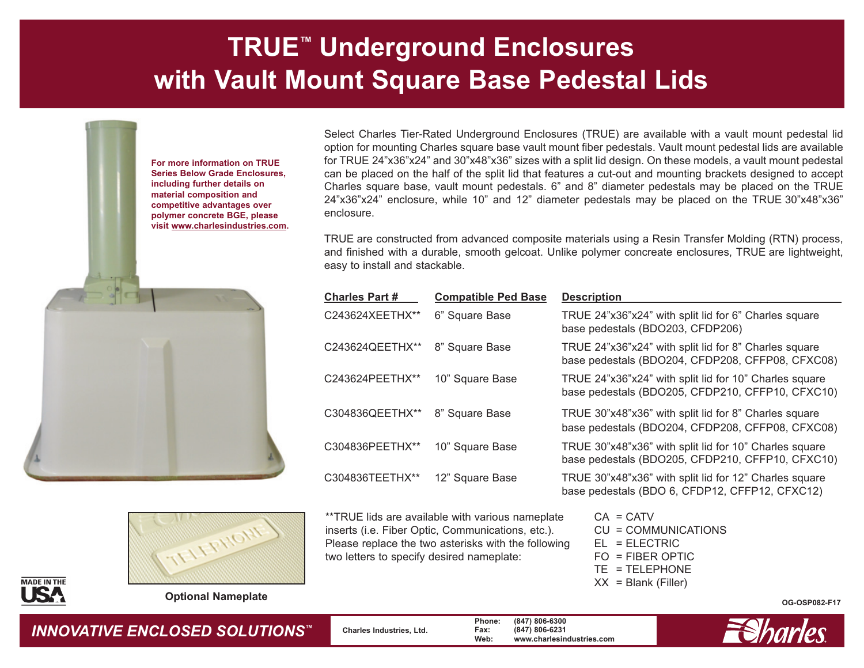## **TRUE™ Underground Enclosures with Vault Mount Square Base Pedestal Lids**







**Optional Nameplate**

Select Charles Tier-Rated Underground Enclosures (TRUE) are available with a vault mount pedestal lid option for mounting Charles square base vault mount fiber pedestals. Vault mount pedestal lids are available for TRUE 24"x36"x24" and 30"x48"x36" sizes with a split lid design. On these models, a vault mount pedestal can be placed on the half of the split lid that features a cut-out and mounting brackets designed to accept Charles square base, vault mount pedestals. 6" and 8" diameter pedestals may be placed on the TRUE 24"x36"x24" enclosure, while 10" and 12" diameter pedestals may be placed on the TRUE 30"x48"x36" enclosure.

TRUE are constructed from advanced composite materials using a Resin Transfer Molding (RTN) process, and finished with a durable, smooth gelcoat. Unlike polymer concreate enclosures, TRUE are lightweight, easy to install and stackable.

| <u> Charles Part #</u> | <b>Compatible Ped Base</b> | <b>Description</b>                                                                                         |
|------------------------|----------------------------|------------------------------------------------------------------------------------------------------------|
| C243624XEETHX**        | 6" Square Base             | TRUE 24"x36"x24" with split lid for 6" Charles square<br>base pedestals (BDO203, CFDP206)                  |
| C243624QEETHX**        | 8" Square Base             | TRUE 24"x36"x24" with split lid for 8" Charles square<br>base pedestals (BDO204, CFDP208, CFFP08, CFXC08)  |
| C243624PEETHX**        | 10" Square Base            | TRUE 24"x36"x24" with split lid for 10" Charles square<br>base pedestals (BDO205, CFDP210, CFFP10, CFXC10) |
| C304836QEETHX**        | 8" Square Base             | TRUE 30"x48"x36" with split lid for 8" Charles square<br>base pedestals (BDO204, CFDP208, CFFP08, CFXC08)  |
| C304836PEETHX**        | 10" Square Base            | TRUE 30"x48"x36" with split lid for 10" Charles square<br>base pedestals (BDO205, CFDP210, CFFP10, CFXC10) |
| C304836TEETHX**        | 12" Square Base            | TRUE 30"x48"x36" with split lid for 12" Charles square<br>base pedestals (BDO 6, CFDP12, CFFP12, CFXC12)   |

\*\*TRUE lids are available with various nameplate inserts (i.e. Fiber Optic, Communications, etc.). Please replace the two asterisks with the following two letters to specify desired nameplate:

 $CA = CATV$ CU = COMMUNICATIONS EL = ELECTRIC FO = FIBER OPTIC TE = TELEPHONE  $XX =$  Blank (Filler)

**OG-OSP082-F17**



*INNOVATIVE ENCLOSED SOLUTIONS™* **Charles Industries, Ltd. Phone: (847) 806-6300 Fax: (847) 806-6231 Web: www.charlesindustries.com**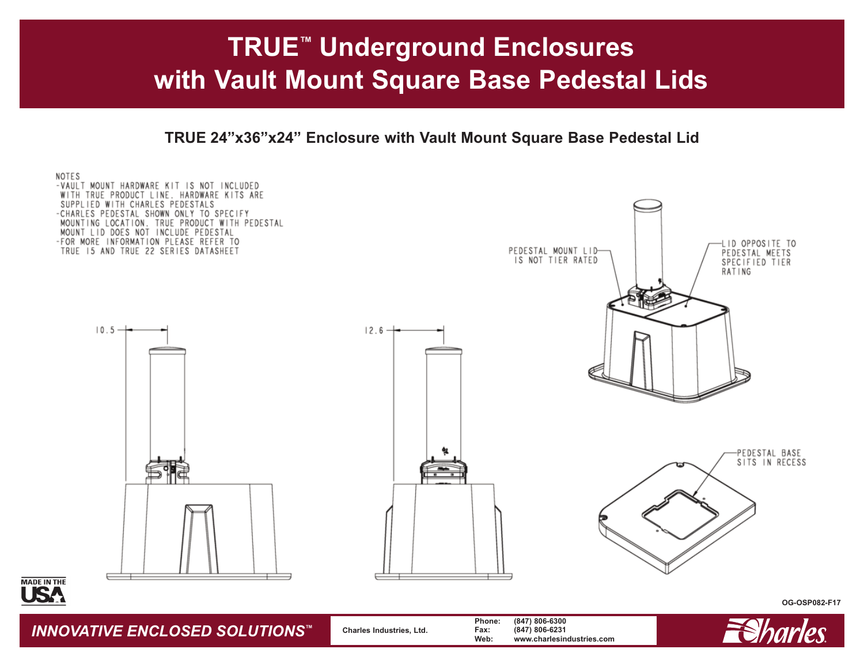## **TRUE™ Underground Enclosures with Vault Mount Square Base Pedestal Lids**

**TRUE 24"x36"x24" Enclosure with Vault Mount Square Base Pedestal Lid**



*INNOVATIVE ENCLOSED SOLUTIONS™* **Charles Industries, Ltd. Phone: (847) 806-6300 Fax: (847) 806-6231 Web: www.charlesindustries.com**